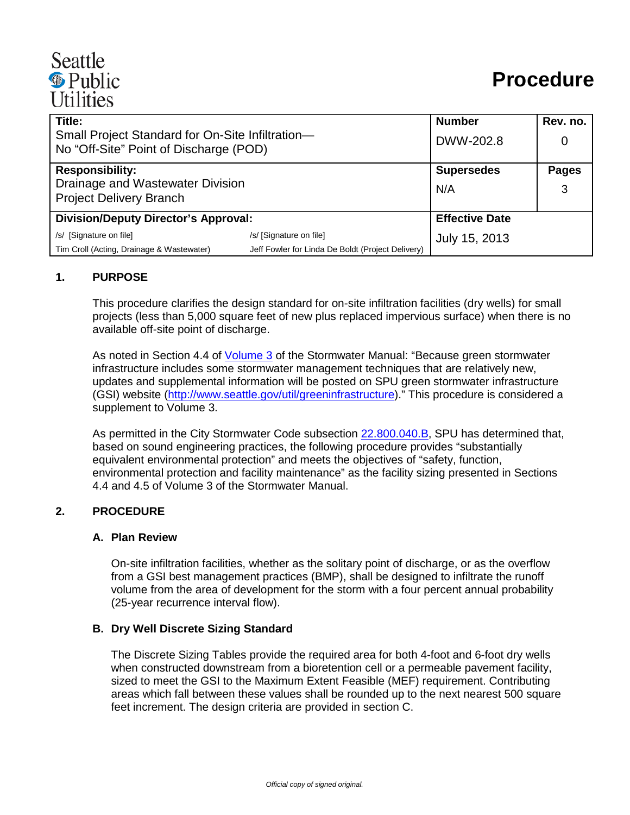# Seattle **·** Public **Utilities**

| Title:                                                                                     |                                                   | <b>Number</b>         | Rev. no.     |
|--------------------------------------------------------------------------------------------|---------------------------------------------------|-----------------------|--------------|
| Small Project Standard for On-Site Infiltration-<br>No "Off-Site" Point of Discharge (POD) |                                                   | DWW-202.8             | 0            |
| <b>Responsibility:</b>                                                                     |                                                   | <b>Supersedes</b>     | <b>Pages</b> |
| Drainage and Wastewater Division                                                           |                                                   | N/A                   | 3            |
| <b>Project Delivery Branch</b>                                                             |                                                   |                       |              |
| <b>Division/Deputy Director's Approval:</b>                                                |                                                   | <b>Effective Date</b> |              |
| /s/ [Signature on file]                                                                    | /s/ [Signature on file]                           | July 15, 2013         |              |
| Tim Croll (Acting, Drainage & Wastewater)                                                  | Jeff Fowler for Linda De Boldt (Project Delivery) |                       |              |

## **1. PURPOSE**

This procedure clarifies the design standard for on-site infiltration facilities (dry wells) for small projects (less than 5,000 square feet of new plus replaced impervious surface) when there is no available off-site point of discharge.

As noted in Section 4.4 of [Volume 3](http://www.seattle.gov/util/groups/public/@spuweb/@policy/documents/webcontent/02_008544.pdf) of the Stormwater Manual: "Because green stormwater infrastructure includes some stormwater management techniques that are relatively new, updates and supplemental information will be posted on SPU green stormwater infrastructure (GSI) website [\(http://www.seattle.gov/util/greeninfrastructure\)](http://www.seattle.gov/util/greeninfrastructure)." This procedure is considered a supplement to Volume 3.

As permitted in the City Stormwater Code subsection [22.800.040.B,](http://clerk.ci.seattle.wa.us/~scripts/nph-brs.exe?d=CODE&s1=22.800.040.snum.&Sect5=CODE1&Sect6=HITOFF&l=20&p=1&u=/~public/code1.htm&r=1&f=G) SPU has determined that, based on sound engineering practices, the following procedure provides "substantially equivalent environmental protection" and meets the objectives of "safety, function, environmental protection and facility maintenance" as the facility sizing presented in Sections 4.4 and 4.5 of Volume 3 of the Stormwater Manual.

## **2. PROCEDURE**

## **A. Plan Review**

On-site infiltration facilities, whether as the solitary point of discharge, or as the overflow from a GSI best management practices (BMP), shall be designed to infiltrate the runoff volume from the area of development for the storm with a four percent annual probability (25-year recurrence interval flow).

## **B. Dry Well Discrete Sizing Standard**

The Discrete Sizing Tables provide the required area for both 4-foot and 6-foot dry wells when constructed downstream from a bioretention cell or a permeable pavement facility, sized to meet the GSI to the Maximum Extent Feasible (MEF) requirement. Contributing areas which fall between these values shall be rounded up to the next nearest 500 square feet increment. The design criteria are provided in section C.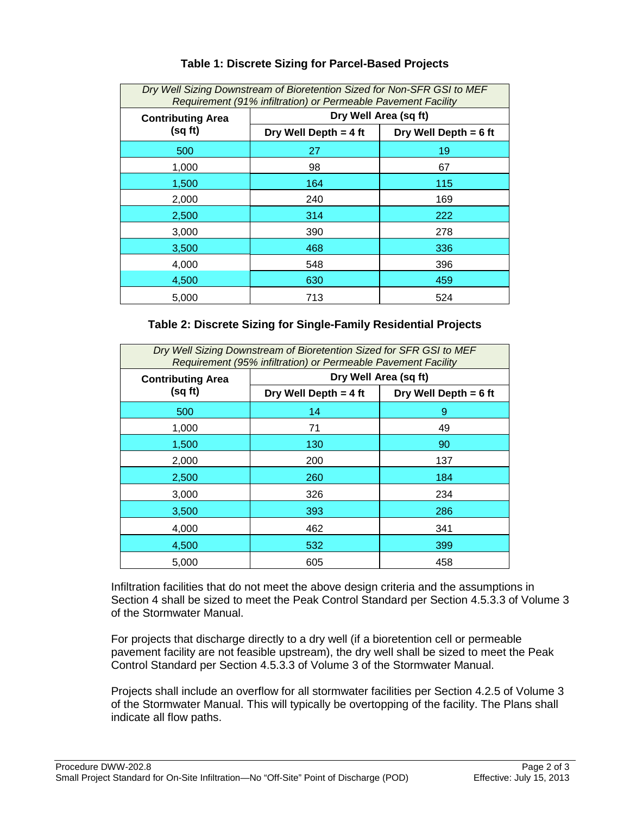| Dry Well Sizing Downstream of Bioretention Sized for Non-SFR GSI to MEF<br>Requirement (91% infiltration) or Permeable Pavement Facility |                       |                         |  |  |
|------------------------------------------------------------------------------------------------------------------------------------------|-----------------------|-------------------------|--|--|
| <b>Contributing Area</b><br>(sq ft)                                                                                                      | Dry Well Area (sq ft) |                         |  |  |
|                                                                                                                                          | Dry Well Depth = 4 ft | Dry Well Depth = $6$ ft |  |  |
| 500                                                                                                                                      | 27                    | 19                      |  |  |
| 1,000                                                                                                                                    | 98                    | 67                      |  |  |
| 1,500                                                                                                                                    | 164                   | 115                     |  |  |
| 2,000                                                                                                                                    | 240                   | 169                     |  |  |
| 2,500                                                                                                                                    | 314                   | 222                     |  |  |
| 3,000                                                                                                                                    | 390                   | 278                     |  |  |
| 3,500                                                                                                                                    | 468                   | 336                     |  |  |
| 4,000                                                                                                                                    | 548                   | 396                     |  |  |
| 4,500                                                                                                                                    | 630                   | 459                     |  |  |
| 5,000                                                                                                                                    | 713                   | 524                     |  |  |

## **Table 1: Discrete Sizing for Parcel-Based Projects**

## **Table 2: Discrete Sizing for Single-Family Residential Projects**

| Dry Well Sizing Downstream of Bioretention Sized for SFR GSI to MEF<br>Requirement (95% infiltration) or Permeable Pavement Facility |                       |                         |  |  |
|--------------------------------------------------------------------------------------------------------------------------------------|-----------------------|-------------------------|--|--|
| <b>Contributing Area</b><br>(sq ft)                                                                                                  | Dry Well Area (sq ft) |                         |  |  |
|                                                                                                                                      | Dry Well Depth = 4 ft | Dry Well Depth = $6$ ft |  |  |
| 500                                                                                                                                  | 14                    | 9                       |  |  |
| 1,000                                                                                                                                | 71                    | 49                      |  |  |
| 1,500                                                                                                                                | 130                   | 90                      |  |  |
| 2,000                                                                                                                                | 200                   | 137                     |  |  |
| 2,500                                                                                                                                | 260                   | 184                     |  |  |
| 3,000                                                                                                                                | 326                   | 234                     |  |  |
| 3,500                                                                                                                                | 393                   | 286                     |  |  |
| 4,000                                                                                                                                | 462                   | 341                     |  |  |
| 4,500                                                                                                                                | 532                   | 399                     |  |  |
| 5,000                                                                                                                                | 605                   | 458                     |  |  |

Infiltration facilities that do not meet the above design criteria and the assumptions in Section 4 shall be sized to meet the Peak Control Standard per Section 4.5.3.3 of Volume 3 of the Stormwater Manual.

For projects that discharge directly to a dry well (if a bioretention cell or permeable pavement facility are not feasible upstream), the dry well shall be sized to meet the Peak Control Standard per Section 4.5.3.3 of Volume 3 of the Stormwater Manual.

Projects shall include an overflow for all stormwater facilities per Section 4.2.5 of Volume 3 of the Stormwater Manual. This will typically be overtopping of the facility. The Plans shall indicate all flow paths.